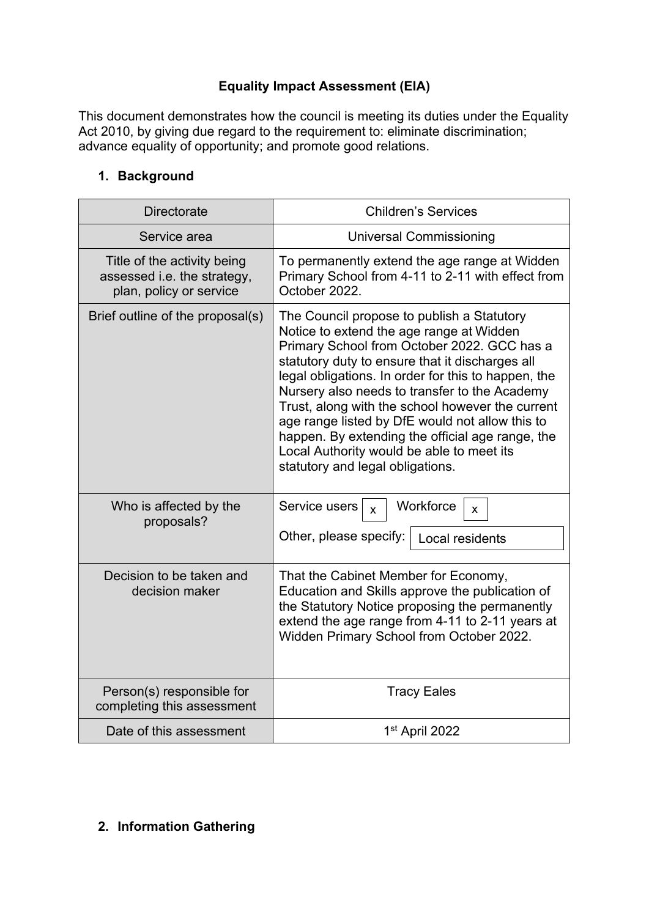## **Equality Impact Assessment (EIA)**

This document demonstrates how the council is meeting its duties under the Equality Act 2010, by giving due regard to the requirement to: eliminate discrimination; advance equality of opportunity; and promote good relations.

# **1. Background**

| <b>Directorate</b>                                                                    | <b>Children's Services</b>                                                                                                                                                                                                                                                                                                                                                                                                                                                                                                                   |  |
|---------------------------------------------------------------------------------------|----------------------------------------------------------------------------------------------------------------------------------------------------------------------------------------------------------------------------------------------------------------------------------------------------------------------------------------------------------------------------------------------------------------------------------------------------------------------------------------------------------------------------------------------|--|
| Service area                                                                          | <b>Universal Commissioning</b>                                                                                                                                                                                                                                                                                                                                                                                                                                                                                                               |  |
| Title of the activity being<br>assessed i.e. the strategy,<br>plan, policy or service | To permanently extend the age range at Widden<br>Primary School from 4-11 to 2-11 with effect from<br>October 2022.                                                                                                                                                                                                                                                                                                                                                                                                                          |  |
| Brief outline of the proposal(s)                                                      | The Council propose to publish a Statutory<br>Notice to extend the age range at Widden<br>Primary School from October 2022. GCC has a<br>statutory duty to ensure that it discharges all<br>legal obligations. In order for this to happen, the<br>Nursery also needs to transfer to the Academy<br>Trust, along with the school however the current<br>age range listed by DfE would not allow this to<br>happen. By extending the official age range, the<br>Local Authority would be able to meet its<br>statutory and legal obligations. |  |
| Who is affected by the<br>proposals?                                                  | Workforce<br>Service users<br>$\mathsf{x}$<br>X<br>Other, please specify:<br>Local residents                                                                                                                                                                                                                                                                                                                                                                                                                                                 |  |
| Decision to be taken and<br>decision maker                                            | That the Cabinet Member for Economy,<br>Education and Skills approve the publication of<br>the Statutory Notice proposing the permanently<br>extend the age range from 4-11 to 2-11 years at<br>Widden Primary School from October 2022.                                                                                                                                                                                                                                                                                                     |  |
| Person(s) responsible for<br>completing this assessment                               | <b>Tracy Eales</b>                                                                                                                                                                                                                                                                                                                                                                                                                                                                                                                           |  |
| Date of this assessment                                                               | 1 <sup>st</sup> April 2022                                                                                                                                                                                                                                                                                                                                                                                                                                                                                                                   |  |

## **2. Information Gathering**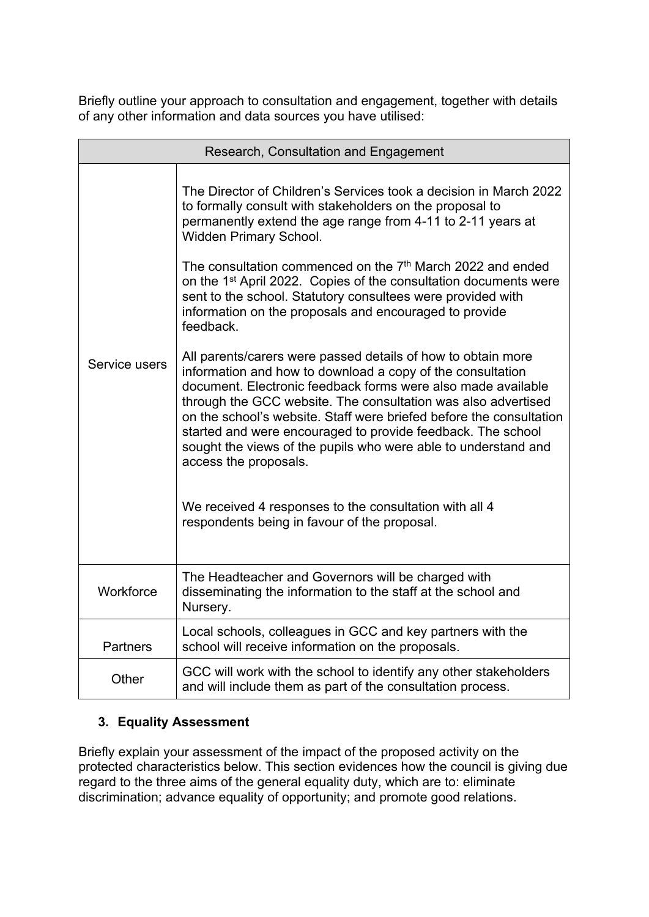Briefly outline your approach to consultation and engagement, together with details of any other information and data sources you have utilised:

| Research, Consultation and Engagement |                                                                                                                                                                                                                                                                                                                                                                                                                                                                                              |  |
|---------------------------------------|----------------------------------------------------------------------------------------------------------------------------------------------------------------------------------------------------------------------------------------------------------------------------------------------------------------------------------------------------------------------------------------------------------------------------------------------------------------------------------------------|--|
|                                       | The Director of Children's Services took a decision in March 2022<br>to formally consult with stakeholders on the proposal to<br>permanently extend the age range from 4-11 to 2-11 years at<br>Widden Primary School.                                                                                                                                                                                                                                                                       |  |
|                                       | The consultation commenced on the 7 <sup>th</sup> March 2022 and ended<br>on the 1 <sup>st</sup> April 2022. Copies of the consultation documents were<br>sent to the school. Statutory consultees were provided with<br>information on the proposals and encouraged to provide<br>feedback.                                                                                                                                                                                                 |  |
| Service users                         | All parents/carers were passed details of how to obtain more<br>information and how to download a copy of the consultation<br>document. Electronic feedback forms were also made available<br>through the GCC website. The consultation was also advertised<br>on the school's website. Staff were briefed before the consultation<br>started and were encouraged to provide feedback. The school<br>sought the views of the pupils who were able to understand and<br>access the proposals. |  |
|                                       | We received 4 responses to the consultation with all 4<br>respondents being in favour of the proposal.                                                                                                                                                                                                                                                                                                                                                                                       |  |
| Workforce                             | The Headteacher and Governors will be charged with<br>disseminating the information to the staff at the school and<br>Nursery.                                                                                                                                                                                                                                                                                                                                                               |  |
| <b>Partners</b>                       | Local schools, colleagues in GCC and key partners with the<br>school will receive information on the proposals.                                                                                                                                                                                                                                                                                                                                                                              |  |
| Other                                 | GCC will work with the school to identify any other stakeholders<br>and will include them as part of the consultation process.                                                                                                                                                                                                                                                                                                                                                               |  |

# **3. Equality Assessment**

Briefly explain your assessment of the impact of the proposed activity on the protected characteristics below. This section evidences how the council is giving due regard to the three aims of the general equality duty, which are to: eliminate discrimination; advance equality of opportunity; and promote good relations.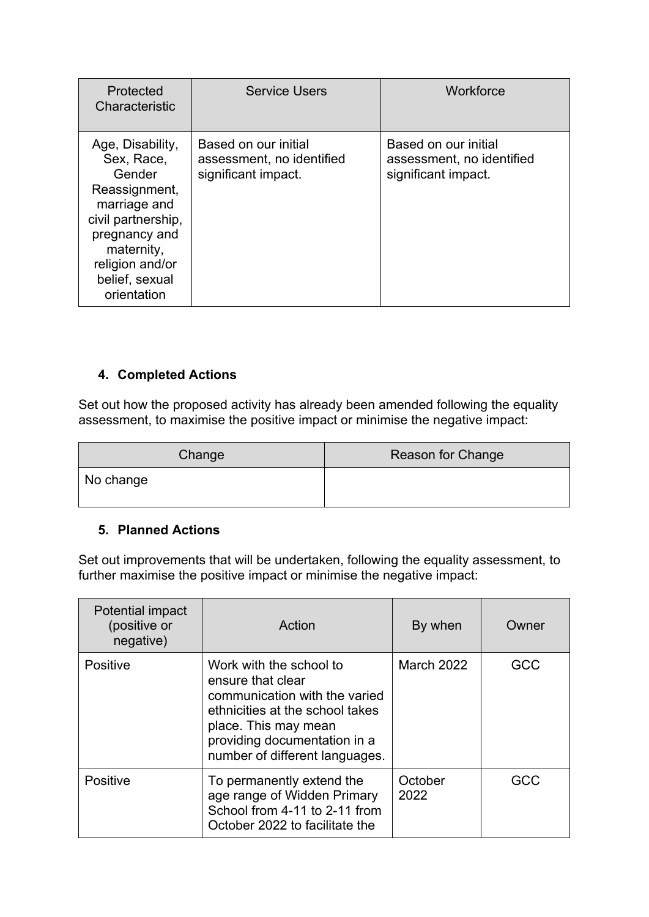| Protected<br>Characteristic                                                                                                                                                        | <b>Service Users</b>                                                     | Workforce                                                                |
|------------------------------------------------------------------------------------------------------------------------------------------------------------------------------------|--------------------------------------------------------------------------|--------------------------------------------------------------------------|
| Age, Disability,<br>Sex, Race,<br>Gender<br>Reassignment,<br>marriage and<br>civil partnership,<br>pregnancy and<br>maternity,<br>religion and/or<br>belief, sexual<br>orientation | Based on our initial<br>assessment, no identified<br>significant impact. | Based on our initial<br>assessment, no identified<br>significant impact. |

## **4. Completed Actions**

Set out how the proposed activity has already been amended following the equality assessment, to maximise the positive impact or minimise the negative impact:

| Change    | Reason for Change |
|-----------|-------------------|
| No change |                   |

#### **5. Planned Actions**

Set out improvements that will be undertaken, following the equality assessment, to further maximise the positive impact or minimise the negative impact:

| Potential impact<br>(positive or<br>negative) | Action                                                                                                                                                                                                     | By when         | Owner |
|-----------------------------------------------|------------------------------------------------------------------------------------------------------------------------------------------------------------------------------------------------------------|-----------------|-------|
| <b>Positive</b>                               | Work with the school to<br>ensure that clear<br>communication with the varied<br>ethnicities at the school takes<br>place. This may mean<br>providing documentation in a<br>number of different languages. | March 2022      | GCC   |
| <b>Positive</b>                               | To permanently extend the<br>age range of Widden Primary<br>School from 4-11 to 2-11 from<br>October 2022 to facilitate the                                                                                | October<br>2022 | GCC   |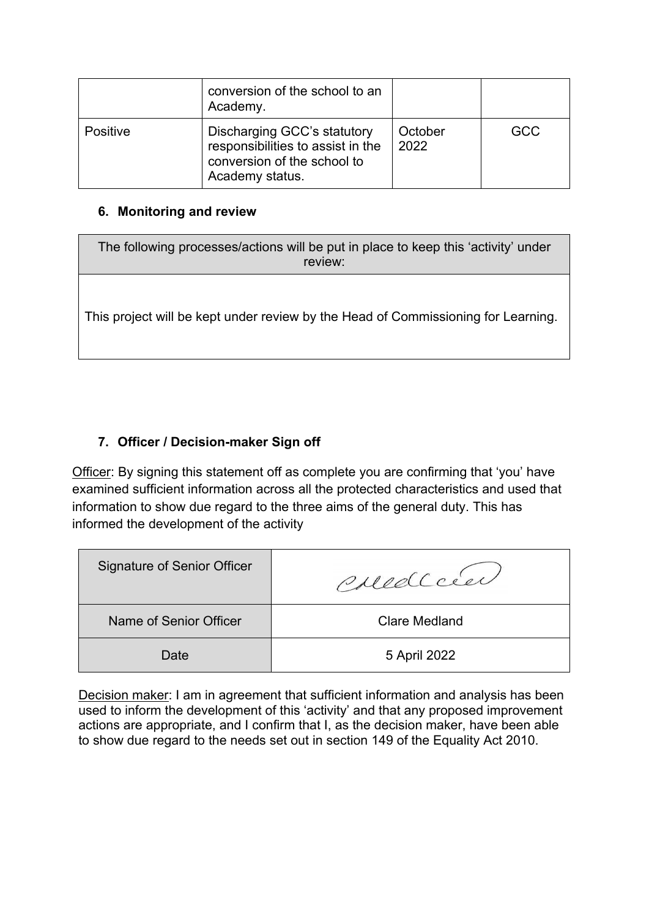|          | conversion of the school to an<br>Academy.                                                                         |                 |            |
|----------|--------------------------------------------------------------------------------------------------------------------|-----------------|------------|
| Positive | Discharging GCC's statutory<br>responsibilities to assist in the<br>conversion of the school to<br>Academy status. | October<br>2022 | <b>GCC</b> |

#### **6. Monitoring and review**

The following processes/actions will be put in place to keep this 'activity' under review:

This project will be kept under review by the Head of Commissioning for Learning.

# **7. Officer / Decision-maker Sign off**

Officer: By signing this statement off as complete you are confirming that 'you' have examined sufficient information across all the protected characteristics and used that information to show due regard to the three aims of the general duty. This has informed the development of the activity

| <b>Signature of Senior Officer</b> | Poredcie      |
|------------------------------------|---------------|
| Name of Senior Officer             | Clare Medland |
| Date                               | 5 April 2022  |

Decision maker: I am in agreement that sufficient information and analysis has been used to inform the development of this 'activity' and that any proposed improvement actions are appropriate, and I confirm that I, as the decision maker, have been able to show due regard to the needs set out in section 149 of the Equality Act 2010.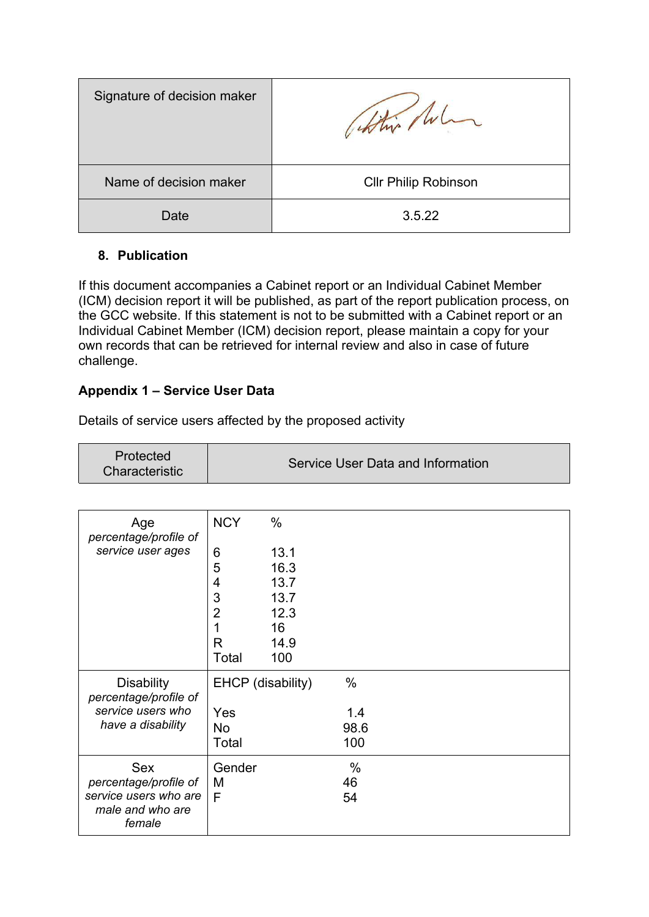| Signature of decision maker | which /w.                   |
|-----------------------------|-----------------------------|
| Name of decision maker      | <b>CIIr Philip Robinson</b> |
| Date                        | 3.5.22                      |

#### **8. Publication**

If this document accompanies a Cabinet report or an Individual Cabinet Member (ICM) decision report it will be published, as part of the report publication process, on the GCC website. If this statement is not to be submitted with a Cabinet report or an Individual Cabinet Member (ICM) decision report, please maintain a copy for your own records that can be retrieved for internal review and also in case of future challenge.

## **Appendix 1 – Service User Data**

Details of service users affected by the proposed activity

| Age<br>percentage/profile of                        | <b>NCY</b>     | $\%$              |      |  |
|-----------------------------------------------------|----------------|-------------------|------|--|
| service user ages                                   | 6              | 13.1              |      |  |
|                                                     | 5              | 16.3              |      |  |
|                                                     | 4              | 13.7              |      |  |
|                                                     | 3              | 13.7              |      |  |
|                                                     | $\overline{2}$ | 12.3              |      |  |
|                                                     | 1              | 16                |      |  |
|                                                     | R              | 14.9              |      |  |
|                                                     | Total          | 100               |      |  |
| <b>Disability</b><br>percentage/profile of          |                | EHCP (disability) | $\%$ |  |
| service users who                                   | Yes            |                   | 1.4  |  |
| have a disability                                   | <b>No</b>      |                   | 98.6 |  |
|                                                     | Total          |                   | 100  |  |
| <b>Sex</b>                                          | Gender         |                   | %    |  |
| percentage/profile of                               | м              |                   | 46   |  |
| service users who are<br>male and who are<br>female | F              |                   | 54   |  |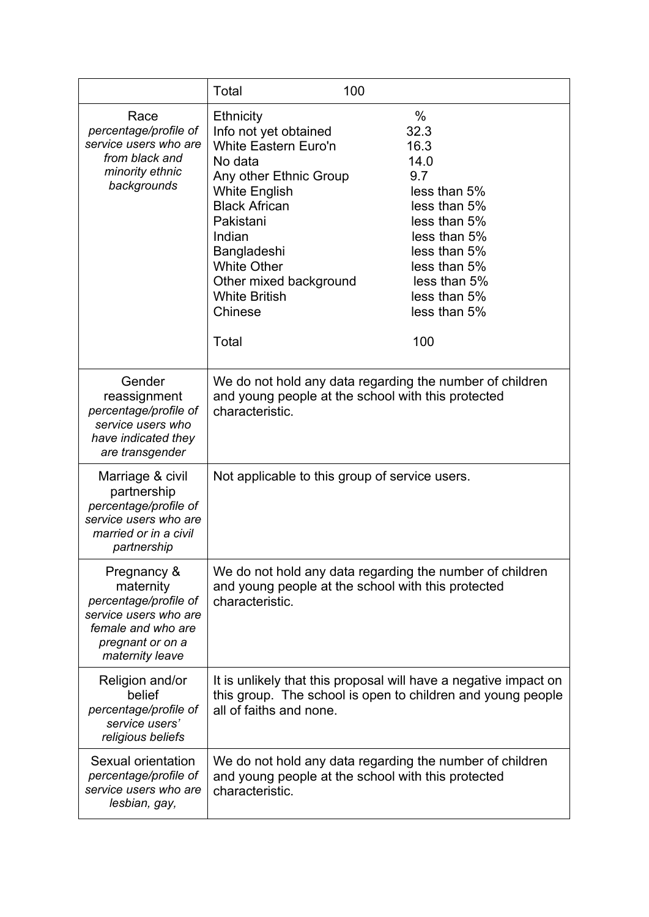|                                                                                                                                         | <b>Total</b>                                                                                                                                                                                                                                                                                    | 100                                                                                                                                                                                        |  |
|-----------------------------------------------------------------------------------------------------------------------------------------|-------------------------------------------------------------------------------------------------------------------------------------------------------------------------------------------------------------------------------------------------------------------------------------------------|--------------------------------------------------------------------------------------------------------------------------------------------------------------------------------------------|--|
| Race<br>percentage/profile of<br>service users who are<br>from black and<br>minority ethnic<br>backgrounds                              | <b>Ethnicity</b><br>Info not yet obtained<br><b>White Eastern Euro'n</b><br>No data<br>Any other Ethnic Group<br><b>White English</b><br><b>Black African</b><br>Pakistani<br>Indian<br>Bangladeshi<br><b>White Other</b><br>Other mixed background<br><b>White British</b><br>Chinese<br>Total | $\%$<br>32.3<br>16.3<br>14.0<br>9.7<br>less than 5%<br>less than 5%<br>less than 5%<br>less than 5%<br>less than 5%<br>less than 5%<br>less than 5%<br>less than 5%<br>less than 5%<br>100 |  |
| Gender<br>reassignment<br>percentage/profile of<br>service users who<br>have indicated they<br>are transgender                          | We do not hold any data regarding the number of children<br>and young people at the school with this protected<br>characteristic.                                                                                                                                                               |                                                                                                                                                                                            |  |
| Marriage & civil<br>partnership<br>percentage/profile of<br>service users who are<br>married or in a civil<br>partnership               | Not applicable to this group of service users.                                                                                                                                                                                                                                                  |                                                                                                                                                                                            |  |
| Pregnancy &<br>maternity<br>percentage/profile of<br>service users who are<br>female and who are<br>pregnant or on a<br>maternity leave | We do not hold any data regarding the number of children<br>and young people at the school with this protected<br>characteristic.                                                                                                                                                               |                                                                                                                                                                                            |  |
| Religion and/or<br>belief<br>percentage/profile of<br>service users'<br>religious beliefs                                               | all of faiths and none.                                                                                                                                                                                                                                                                         | It is unlikely that this proposal will have a negative impact on<br>this group. The school is open to children and young people                                                            |  |
| Sexual orientation<br>percentage/profile of<br>service users who are<br>lesbian, gay,                                                   | We do not hold any data regarding the number of children<br>and young people at the school with this protected<br>characteristic.                                                                                                                                                               |                                                                                                                                                                                            |  |